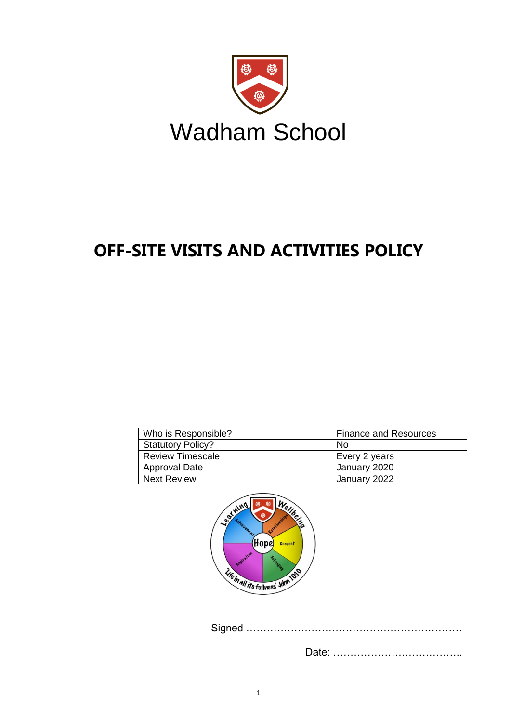

# **OFF-SITE VISITS AND ACTIVITIES POLICY**

| Who is Responsible?      | <b>Finance and Resources</b> |
|--------------------------|------------------------------|
| <b>Statutory Policy?</b> | No.                          |
| <b>Review Timescale</b>  | Every 2 years                |
| <b>Approval Date</b>     | January 2020                 |
| <b>Next Review</b>       | January 2022                 |



Signed ………………………………………………………

Date: ………………………………..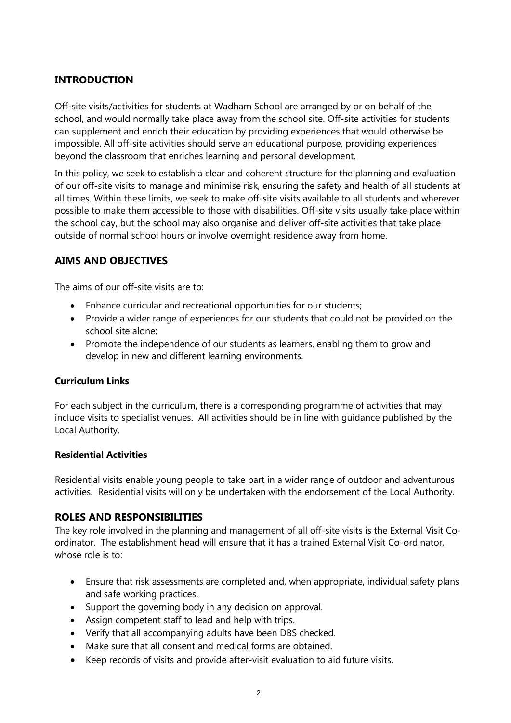# **INTRODUCTION**

Off-site visits/activities for students at Wadham School are arranged by or on behalf of the school, and would normally take place away from the school site. Off-site activities for students can supplement and enrich their education by providing experiences that would otherwise be impossible. All off-site activities should serve an educational purpose, providing experiences beyond the classroom that enriches learning and personal development.

In this policy, we seek to establish a clear and coherent structure for the planning and evaluation of our off-site visits to manage and minimise risk, ensuring the safety and health of all students at all times. Within these limits, we seek to make off-site visits available to all students and wherever possible to make them accessible to those with disabilities. Off-site visits usually take place within the school day, but the school may also organise and deliver off-site activities that take place outside of normal school hours or involve overnight residence away from home.

# **AIMS AND OBJECTIVES**

The aims of our off-site visits are to:

- Enhance curricular and recreational opportunities for our students;
- Provide a wider range of experiences for our students that could not be provided on the school site alone;
- Promote the independence of our students as learners, enabling them to grow and develop in new and different learning environments.

## **Curriculum Links**

For each subject in the curriculum, there is a corresponding programme of activities that may include visits to specialist venues. All activities should be in line with guidance published by the Local Authority.

## **Residential Activities**

Residential visits enable young people to take part in a wider range of outdoor and adventurous activities. Residential visits will only be undertaken with the endorsement of the Local Authority.

# **ROLES AND RESPONSIBILITIES**

The key role involved in the planning and management of all off-site visits is the External Visit Coordinator. The establishment head will ensure that it has a trained External Visit Co-ordinator, whose role is to:

- Ensure that risk assessments are completed and, when appropriate, individual safety plans and safe working practices.
- Support the governing body in any decision on approval.
- Assign competent staff to lead and help with trips.
- Verify that all accompanying adults have been DBS checked.
- Make sure that all consent and medical forms are obtained.
- Keep records of visits and provide after-visit evaluation to aid future visits.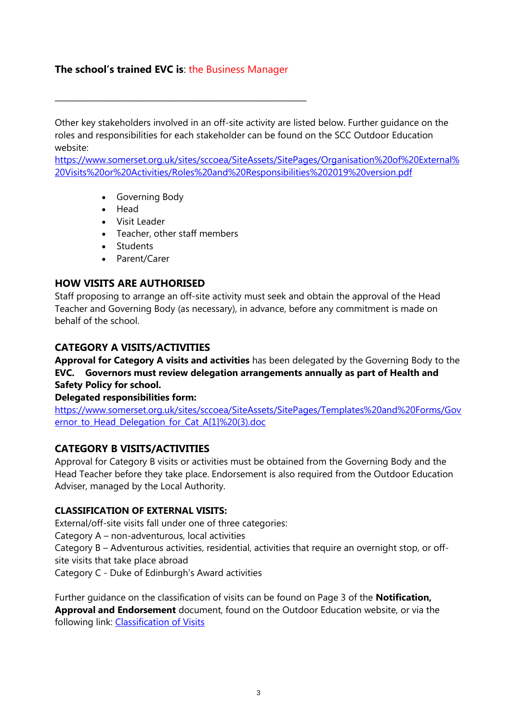# **The school's trained EVC is**: the Business Manager

\_\_\_\_\_\_\_\_\_\_\_\_\_\_\_\_\_\_\_\_\_\_\_\_\_\_\_\_\_\_\_\_\_\_\_\_\_\_\_\_\_\_\_\_\_\_\_\_\_\_\_\_\_\_\_\_\_\_\_

Other key stakeholders involved in an off-site activity are listed below. Further guidance on the roles and responsibilities for each stakeholder can be found on the SCC Outdoor Education website:

[https://www.somerset.org.uk/sites/sccoea/SiteAssets/SitePages/Organisation%20of%20External%](https://www.somerset.org.uk/sites/sccoea/SiteAssets/SitePages/Organisation%20of%20External%20Visits%20or%20Activities/Roles%20and%20Responsibilities%202019%20version.pdf) [20Visits%20or%20Activities/Roles%20and%20Responsibilities%202019%20version.pdf](https://www.somerset.org.uk/sites/sccoea/SiteAssets/SitePages/Organisation%20of%20External%20Visits%20or%20Activities/Roles%20and%20Responsibilities%202019%20version.pdf)

- Governing Body
- Head
- Visit Leader
- Teacher, other staff members
- Students
- Parent/Carer

# **HOW VISITS ARE AUTHORISED**

Staff proposing to arrange an off-site activity must seek and obtain the approval of the Head Teacher and Governing Body (as necessary), in advance, before any commitment is made on behalf of the school.

# **CATEGORY A VISITS/ACTIVITIES**

**Approval for Category A visits and activities** has been delegated by the Governing Body to the **EVC. Governors must review delegation arrangements annually as part of Health and Safety Policy for school.** 

## **Delegated responsibilities form:**

[https://www.somerset.org.uk/sites/sccoea/SiteAssets/SitePages/Templates%20and%20Forms/Gov](https://www.somerset.org.uk/sites/sccoea/SiteAssets/SitePages/Templates%20and%20Forms/Governor_to_Head_Delegation_for_Cat_A%5b1%5d%20(3).doc) ernor to Head Delegation for Cat A[1]%20(3).doc

# **CATEGORY B VISITS/ACTIVITIES**

Approval for Category B visits or activities must be obtained from the Governing Body and the Head Teacher before they take place. Endorsement is also required from the Outdoor Education Adviser, managed by the Local Authority.

## **CLASSIFICATION OF EXTERNAL VISITS:**

External/off-site visits fall under one of three categories: Category A – non-adventurous, local activities Category B – Adventurous activities, residential, activities that require an overnight stop, or offsite visits that take place abroad Category C - Duke of Edinburgh's Award activities

Further guidance on the classification of visits can be found on Page 3 of the **Notification, Approval and Endorsement** document, found on the Outdoor Education website, or via the following link: [Classification of Visits](https://www.somerset.org.uk/sites/sccoea/SiteAssets/SitePages/Organisation%20of%20External%20Visits%20or%20Activities/Notification,%20Approval%20and%20Endorsement%20System.pdf)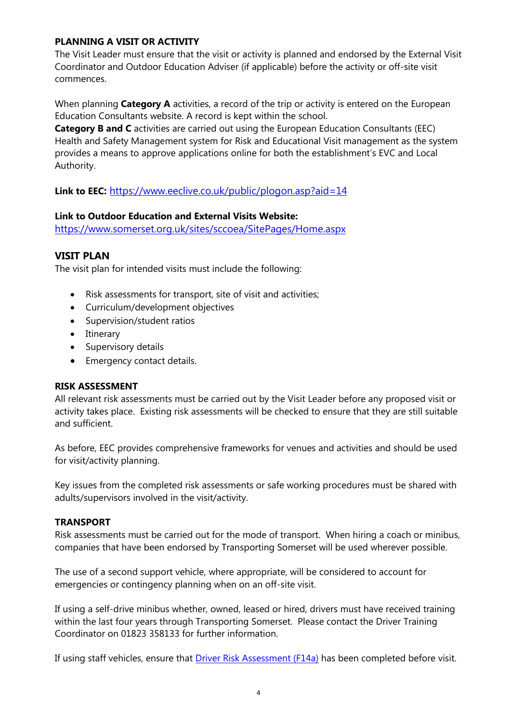# **PLANNING A VISIT OR ACTIVITY**

The Visit Leader must ensure that the visit or activity is planned and endorsed by the External Visit Coordinator and Outdoor Education Adviser (if applicable) before the activity or off-site visit commences.

When planning **Category A** activities, a record of the trip or activity is entered on the European Education Consultants website. A record is kept within the school.

**Category B and C** activities are carried out using the European Education Consultants (EEC) Health and Safety Management system for Risk and Educational Visit management as the system provides a means to approve applications online for both the establishment's EVC and Local Authority.

**Link to EEC:** <https://www.eeclive.co.uk/public/plogon.asp?aid=14>

# **Link to Outdoor Education and External Visits Website:**

<https://www.somerset.org.uk/sites/sccoea/SitePages/Home.aspx>

# **VISIT PLAN**

The visit plan for intended visits must include the following:

- Risk assessments for transport, site of visit and activities;
- Curriculum/development objectives
- Supervision/student ratios
- Itinerary
- Supervisory details
- Emergency contact details.

## **RISK ASSESSMENT**

All relevant risk assessments must be carried out by the Visit Leader before any proposed visit or activity takes place. Existing risk assessments will be checked to ensure that they are still suitable and sufficient.

As before, EEC provides comprehensive frameworks for venues and activities and should be used for visit/activity planning.

Key issues from the completed risk assessments or safe working procedures must be shared with adults/supervisors involved in the visit/activity.

# **TRANSPORT**

Risk assessments must be carried out for the mode of transport. When hiring a coach or minibus, companies that have been endorsed by Transporting Somerset will be used wherever possible.

The use of a second support vehicle, where appropriate, will be considered to account for emergencies or contingency planning when on an off-site visit.

If using a self-drive minibus whether, owned, leased or hired, drivers must have received training within the last four years through Transporting Somerset. Please contact the Driver Training Coordinator on 01823 358133 for further information.

If using staff vehicles, ensure that [Driver Risk Assessment \(F14a\)](http://extranet.somerset.gov.uk/EasySiteWeb/GatewayLink.aspx?alId=36343) has been completed before visit.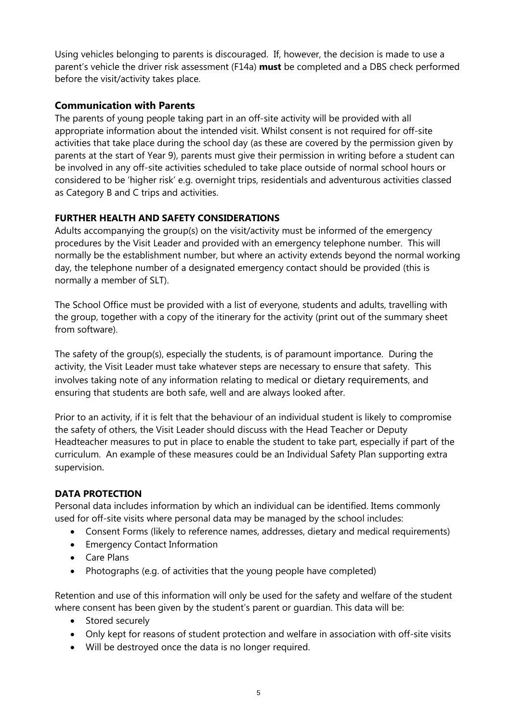Using vehicles belonging to parents is discouraged. If, however, the decision is made to use a parent's vehicle the driver risk assessment (F14a) **must** be completed and a DBS check performed before the visit/activity takes place.

# **Communication with Parents**

The parents of young people taking part in an off-site activity will be provided with all appropriate information about the intended visit. Whilst consent is not required for off-site activities that take place during the school day (as these are covered by the permission given by parents at the start of Year 9), parents must give their permission in writing before a student can be involved in any off-site activities scheduled to take place outside of normal school hours or considered to be 'higher risk' e.g. overnight trips, residentials and adventurous activities classed as Category B and C trips and activities.

# **FURTHER HEALTH AND SAFETY CONSIDERATIONS**

Adults accompanying the group(s) on the visit/activity must be informed of the emergency procedures by the Visit Leader and provided with an emergency telephone number. This will normally be the establishment number, but where an activity extends beyond the normal working day, the telephone number of a designated emergency contact should be provided (this is normally a member of SLT).

The School Office must be provided with a list of everyone, students and adults, travelling with the group, together with a copy of the itinerary for the activity (print out of the summary sheet from software).

The safety of the group(s), especially the students, is of paramount importance. During the activity, the Visit Leader must take whatever steps are necessary to ensure that safety. This involves taking note of any information relating to medical or dietary requirements, and ensuring that students are both safe, well and are always looked after.

Prior to an activity, if it is felt that the behaviour of an individual student is likely to compromise the safety of others, the Visit Leader should discuss with the Head Teacher or Deputy Headteacher measures to put in place to enable the student to take part, especially if part of the curriculum. An example of these measures could be an Individual Safety Plan supporting extra supervision.

# **DATA PROTECTION**

Personal data includes information by which an individual can be identified. Items commonly used for off-site visits where personal data may be managed by the school includes:

- Consent Forms (likely to reference names, addresses, dietary and medical requirements)
- Emergency Contact Information
- Care Plans
- Photographs (e.g. of activities that the young people have completed)

Retention and use of this information will only be used for the safety and welfare of the student where consent has been given by the student's parent or guardian. This data will be:

- Stored securely
- Only kept for reasons of student protection and welfare in association with off-site visits
- Will be destroyed once the data is no longer required.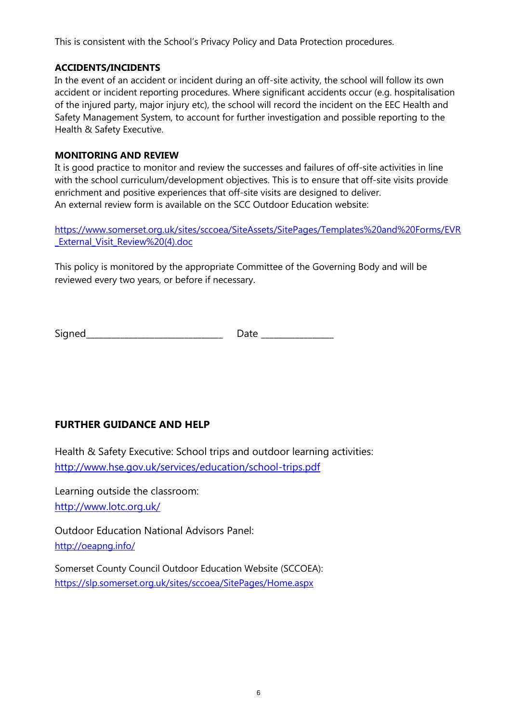This is consistent with the School's Privacy Policy and Data Protection procedures.

# **ACCIDENTS/INCIDENTS**

In the event of an accident or incident during an off-site activity, the school will follow its own accident or incident reporting procedures. Where significant accidents occur (e.g. hospitalisation of the injured party, major injury etc), the school will record the incident on the EEC Health and Safety Management System, to account for further investigation and possible reporting to the Health & Safety Executive.

# **MONITORING AND REVIEW**

It is good practice to monitor and review the successes and failures of off-site activities in line with the school curriculum/development objectives. This is to ensure that off-site visits provide enrichment and positive experiences that off-site visits are designed to deliver. An external review form is available on the SCC Outdoor Education website:

[https://www.somerset.org.uk/sites/sccoea/SiteAssets/SitePages/Templates%20and%20Forms/EVR](https://www.somerset.org.uk/sites/sccoea/SiteAssets/SitePages/Templates%20and%20Forms/EVR_External_Visit_Review%20(4).doc) External Visit Review%20(4).doc

This policy is monitored by the appropriate Committee of the Governing Body and will be reviewed every two years, or before if necessary.

Signed\_\_\_\_\_\_\_\_\_\_\_\_\_\_\_\_\_\_\_\_\_\_\_\_\_\_\_\_\_\_\_\_ Date \_\_\_\_\_\_\_\_\_\_\_\_\_\_\_\_\_

# **FURTHER GUIDANCE AND HELP**

Health & Safety Executive: School trips and outdoor learning activities: <http://www.hse.gov.uk/services/education/school-trips.pdf>

Learning outside the classroom: <http://www.lotc.org.uk/>

Outdoor Education National Advisors Panel: <http://oeapng.info/>

Somerset County Council Outdoor Education Website (SCCOEA): <https://slp.somerset.org.uk/sites/sccoea/SitePages/Home.aspx>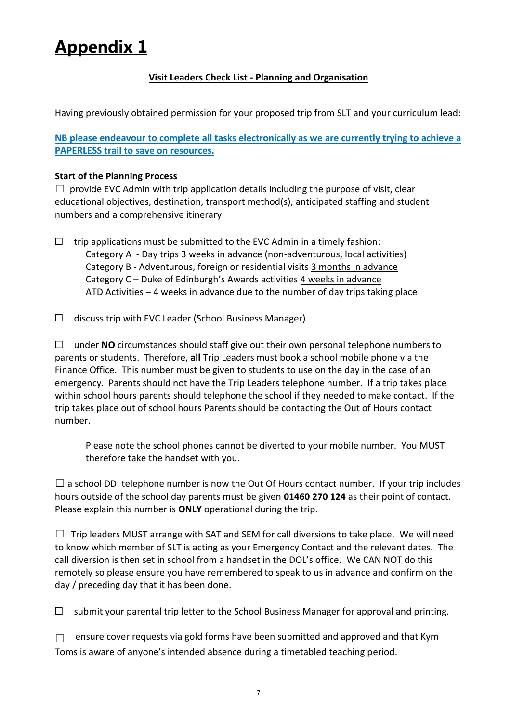# **Appendix 1**

# **Visit Leaders Check List - Planning and Organisation**

Having previously obtained permission for your proposed trip from SLT and your curriculum lead:

**NB please endeavour to complete all tasks electronically as we are currently trying to achieve a PAPERLESS trail to save on resources.** 

## **Start of the Planning Process**

 $\Box$  provide EVC Admin with trip application details including the purpose of visit, clear educational objectives, destination, transport method(s), anticipated staffing and student numbers and a comprehensive itinerary.

- $\Box$  trip applications must be submitted to the EVC Admin in a timely fashion: Category A - Day trips 3 weeks in advance (non-adventurous, local activities) Category B - Adventurous, foreign or residential visits 3 months in advance Category C – Duke of Edinburgh's Awards activities 4 weeks in advance ATD Activities – 4 weeks in advance due to the number of day trips taking place
- ☐ discuss trip with EVC Leader (School Business Manager)

☐ under **NO** circumstances should staff give out their own personal telephone numbers to parents or students. Therefore, **all** Trip Leaders must book a school mobile phone via the Finance Office. This number must be given to students to use on the day in the case of an emergency. Parents should not have the Trip Leaders telephone number. If a trip takes place within school hours parents should telephone the school if they needed to make contact. If the trip takes place out of school hours Parents should be contacting the Out of Hours contact number.

Please note the school phones cannot be diverted to your mobile number. You MUST therefore take the handset with you.

 $\square$  a school DDI telephone number is now the Out Of Hours contact number. If your trip includes hours outside of the school day parents must be given **01460 270 124** as their point of contact. Please explain this number is **ONLY** operational during the trip.

 $\Box$  Trip leaders MUST arrange with SAT and SEM for call diversions to take place. We will need to know which member of SLT is acting as your Emergency Contact and the relevant dates. The call diversion is then set in school from a handset in the DOL's office. We CAN NOT do this remotely so please ensure you have remembered to speak to us in advance and confirm on the day / preceding day that it has been done.

 $\Box$  submit your parental trip letter to the School Business Manager for approval and printing.

 $\Box$  ensure cover requests via gold forms have been submitted and approved and that Kym Toms is aware of anyone's intended absence during a timetabled teaching period.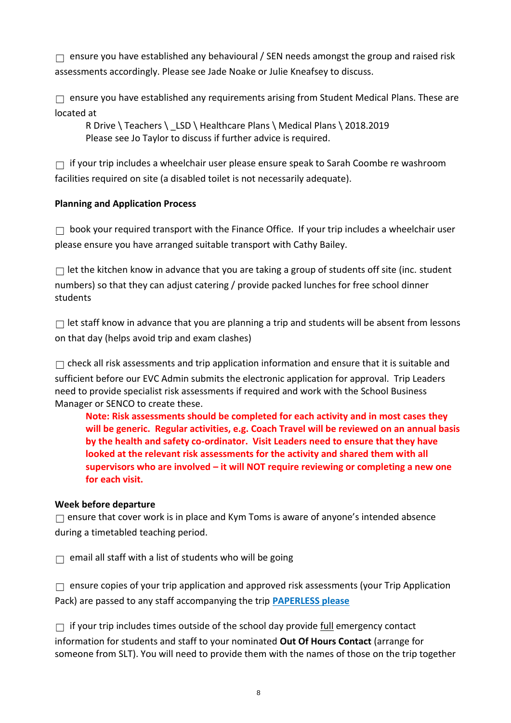$\Box$  ensure you have established any behavioural / SEN needs amongst the group and raised risk assessments accordingly. Please see Jade Noake or Julie Kneafsey to discuss.

 $\Box$  ensure you have established any requirements arising from Student Medical Plans. These are located at

R Drive \ Teachers \ \_LSD \ Healthcare Plans \ Medical Plans \ 2018.2019 Please see Jo Taylor to discuss if further advice is required.

 $\Box$  if your trip includes a wheelchair user please ensure speak to Sarah Coombe re washroom facilities required on site (a disabled toilet is not necessarily adequate).

# **Planning and Application Process**

 $\Box$  book your required transport with the Finance Office. If your trip includes a wheelchair user please ensure you have arranged suitable transport with Cathy Bailey.

 $\Box$  let the kitchen know in advance that you are taking a group of students off site (inc. student numbers) so that they can adjust catering / provide packed lunches for free school dinner students

 $\Box$  let staff know in advance that you are planning a trip and students will be absent from lessons on that day (helps avoid trip and exam clashes)

 $\Box$  check all risk assessments and trip application information and ensure that it is suitable and sufficient before our EVC Admin submits the electronic application for approval. Trip Leaders need to provide specialist risk assessments if required and work with the School Business Manager or SENCO to create these.

**Note: Risk assessments should be completed for each activity and in most cases they will be generic. Regular activities, e.g. Coach Travel will be reviewed on an annual basis by the health and safety co-ordinator. Visit Leaders need to ensure that they have looked at the relevant risk assessments for the activity and shared them with all supervisors who are involved – it will NOT require reviewing or completing a new one for each visit.**

# **Week before departure**

 $\Box$  ensure that cover work is in place and Kym Toms is aware of anyone's intended absence during a timetabled teaching period.

 $\Box$  email all staff with a list of students who will be going

 $\Box$  ensure copies of your trip application and approved risk assessments (your Trip Application Pack) are passed to any staff accompanying the trip **PAPERLESS please**

 $\Box$  if your trip includes times outside of the school day provide full emergency contact information for students and staff to your nominated **Out Of Hours Contact** (arrange for someone from SLT). You will need to provide them with the names of those on the trip together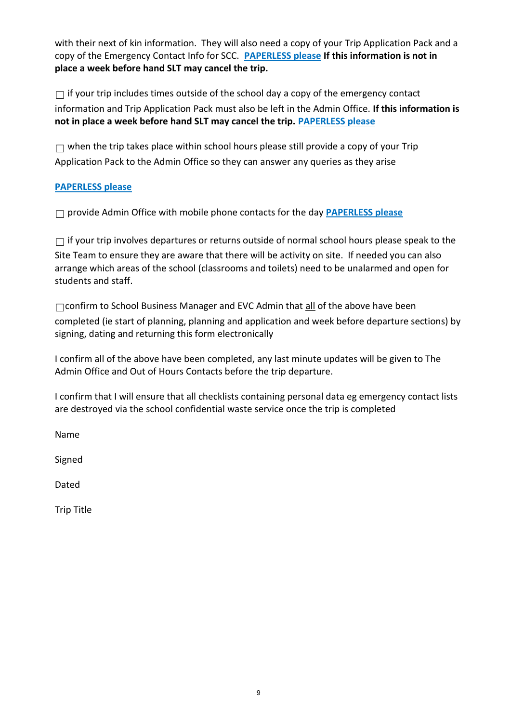with their next of kin information. They will also need a copy of your Trip Application Pack and a copy of the Emergency Contact Info for SCC. **PAPERLESS please If this information is not in place a week before hand SLT may cancel the trip.** 

 $\Box$  if your trip includes times outside of the school day a copy of the emergency contact information and Trip Application Pack must also be left in the Admin Office. **If this information is not in place a week before hand SLT may cancel the trip. PAPERLESS please**

 $\Box$  when the trip takes place within school hours please still provide a copy of your Trip Application Pack to the Admin Office so they can answer any queries as they arise

# **PAPERLESS please**

☐ provide Admin Office with mobile phone contacts for the day **PAPERLESS please**

 $\Box$  if your trip involves departures or returns outside of normal school hours please speak to the Site Team to ensure they are aware that there will be activity on site. If needed you can also arrange which areas of the school (classrooms and toilets) need to be unalarmed and open for students and staff.

☐confirm to School Business Manager and EVC Admin that all of the above have been completed (ie start of planning, planning and application and week before departure sections) by signing, dating and returning this form electronically

I confirm all of the above have been completed, any last minute updates will be given to The Admin Office and Out of Hours Contacts before the trip departure.

I confirm that I will ensure that all checklists containing personal data eg emergency contact lists are destroyed via the school confidential waste service once the trip is completed

Name

Signed

Dated

Trip Title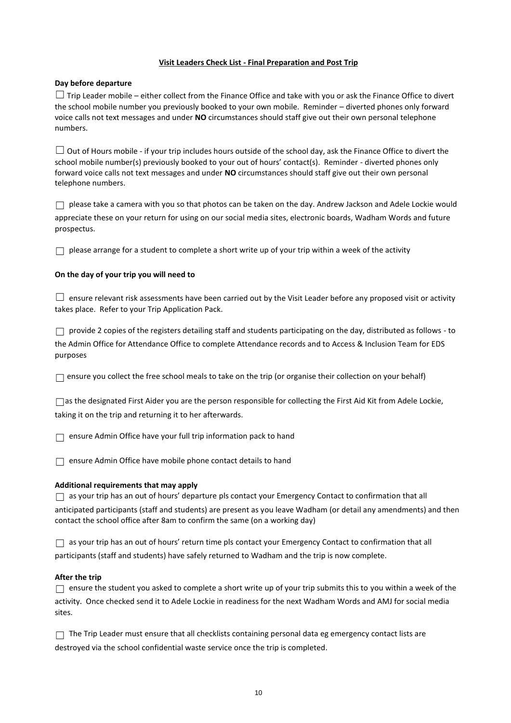#### **Visit Leaders Check List - Final Preparation and Post Trip**

#### **Day before departure**

 $\Box$  Trip Leader mobile – either collect from the Finance Office and take with you or ask the Finance Office to divert the school mobile number you previously booked to your own mobile. Reminder – diverted phones only forward voice calls not text messages and under **NO** circumstances should staff give out their own personal telephone numbers.

 $\Box$  Out of Hours mobile - if your trip includes hours outside of the school day, ask the Finance Office to divert the school mobile number(s) previously booked to your out of hours' contact(s). Reminder - diverted phones only forward voice calls not text messages and under **NO** circumstances should staff give out their own personal telephone numbers.

 $\Box$  please take a camera with you so that photos can be taken on the day. Andrew Jackson and Adele Lockie would appreciate these on your return for using on our social media sites, electronic boards, Wadham Words and future prospectus.

 $\Box$  please arrange for a student to complete a short write up of your trip within a week of the activity

#### **On the day of your trip you will need to**

 $\Box$  ensure relevant risk assessments have been carried out by the Visit Leader before any proposed visit or activity takes place. Refer to your Trip Application Pack.

 $\Box$  provide 2 copies of the registers detailing staff and students participating on the day, distributed as follows - to the Admin Office for Attendance Office to complete Attendance records and to Access & Inclusion Team for EDS purposes

 $\Box$  ensure you collect the free school meals to take on the trip (or organise their collection on your behalf)

☐as the designated First Aider you are the person responsible for collecting the First Aid Kit from Adele Lockie, taking it on the trip and returning it to her afterwards.

□ ensure Admin Office have your full trip information pack to hand

□ ensure Admin Office have mobile phone contact details to hand

#### **Additional requirements that may apply**

 $\Box$  as your trip has an out of hours' departure pls contact your Emergency Contact to confirmation that all

anticipated participants (staff and students) are present as you leave Wadham (or detail any amendments) and then contact the school office after 8am to confirm the same (on a working day)

 $\Box$  as your trip has an out of hours' return time pls contact your Emergency Contact to confirmation that all participants (staff and students) have safely returned to Wadham and the trip is now complete.

#### **After the trip**

 $\Box$  ensure the student you asked to complete a short write up of your trip submits this to you within a week of the activity. Once checked send it to Adele Lockie in readiness for the next Wadham Words and AMJ for social media sites.

□ The Trip Leader must ensure that all checklists containing personal data eg emergency contact lists are destroyed via the school confidential waste service once the trip is completed.